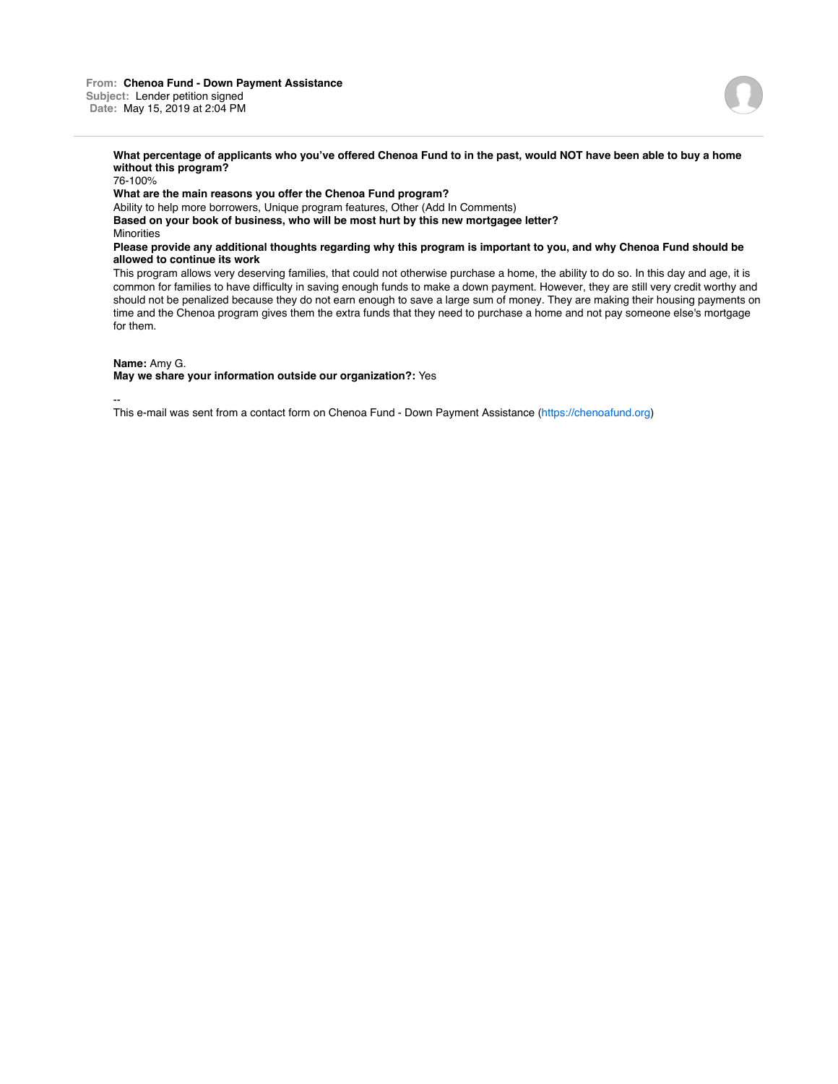## **What percentage of applicants who you've offered Chenoa Fund to in the past, would NOT have been able to buy a home without this program?**

76-100%

**What are the main reasons you offer the Chenoa Fund program?**

Ability to help more borrowers, Unique program features, Other (Add In Comments) **Based on your book of business, who will be most hurt by this new mortgagee letter? Minorities** 

**Please provide any additional thoughts regarding why this program is important to you, and why Chenoa Fund should be allowed to continue its work**

This program allows very deserving families, that could not otherwise purchase a home, the ability to do so. In this day and age, it is common for families to have difficulty in saving enough funds to make a down payment. However, they are still very credit worthy and should not be penalized because they do not earn enough to save a large sum of money. They are making their housing payments on time and the Chenoa program gives them the extra funds that they need to purchase a home and not pay someone else's mortgage for them.

## **Name:** Amy G.

**May we share your information outside our organization?:** Yes

--

This e-mail was sent from a contact form on Chenoa Fund - Down Payment Assistance (https://chenoafund.org)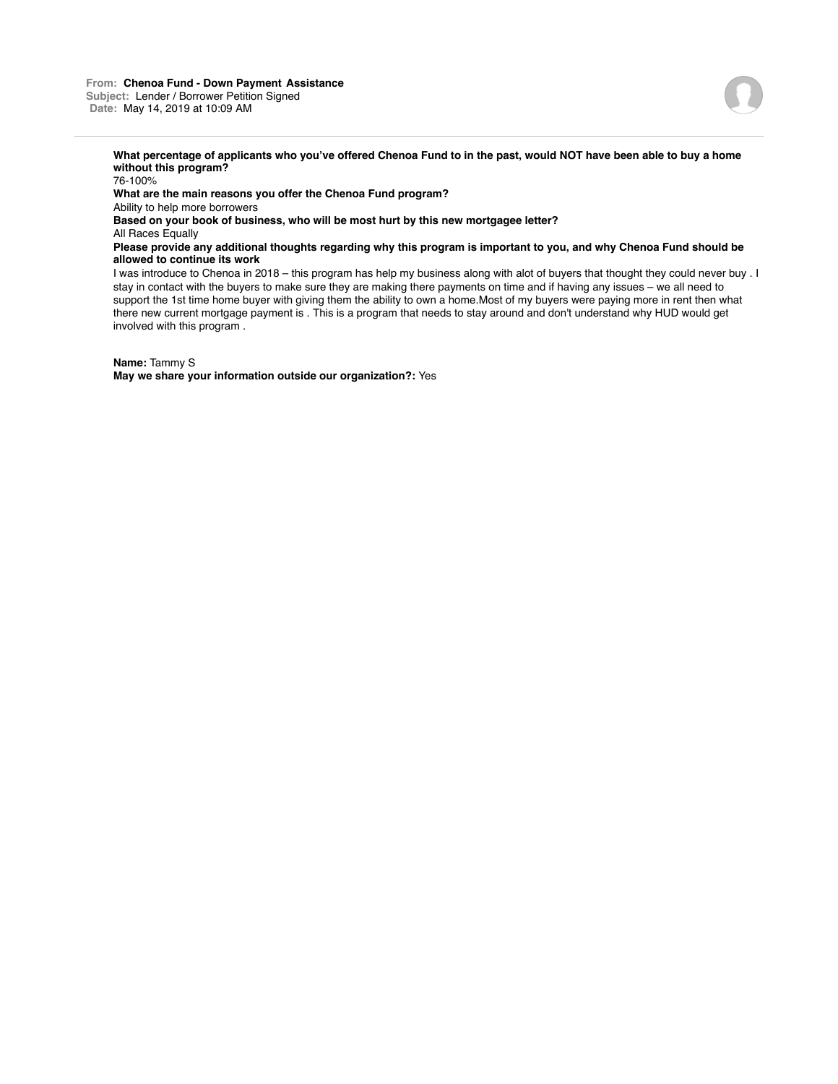## **What percentage of applicants who you've offered Chenoa Fund to in the past, would NOT have been able to buy a home without this program?**

76-100% **What are the main reasons you offer the Chenoa Fund program?** Ability to help more borrowers **Based on your book of business, who will be most hurt by this new mortgagee letter?** All Races Equally **Please provide any additional thoughts regarding why this program is important to you, and why Chenoa Fund should be allowed to continue its work** I was introduce to Chenoa in 2018 – this program has help my business along with alot of buyers that thought they could never buy . I

stay in contact with the buyers to make sure they are making there payments on time and if having any issues – we all need to support the 1st time home buyer with giving them the ability to own a home.Most of my buyers were paying more in rent then what there new current mortgage payment is . This is a program that needs to stay around and don't understand why HUD would get involved with this program .

**Name:** Tammy S

**May we share your information outside our organization?:** Yes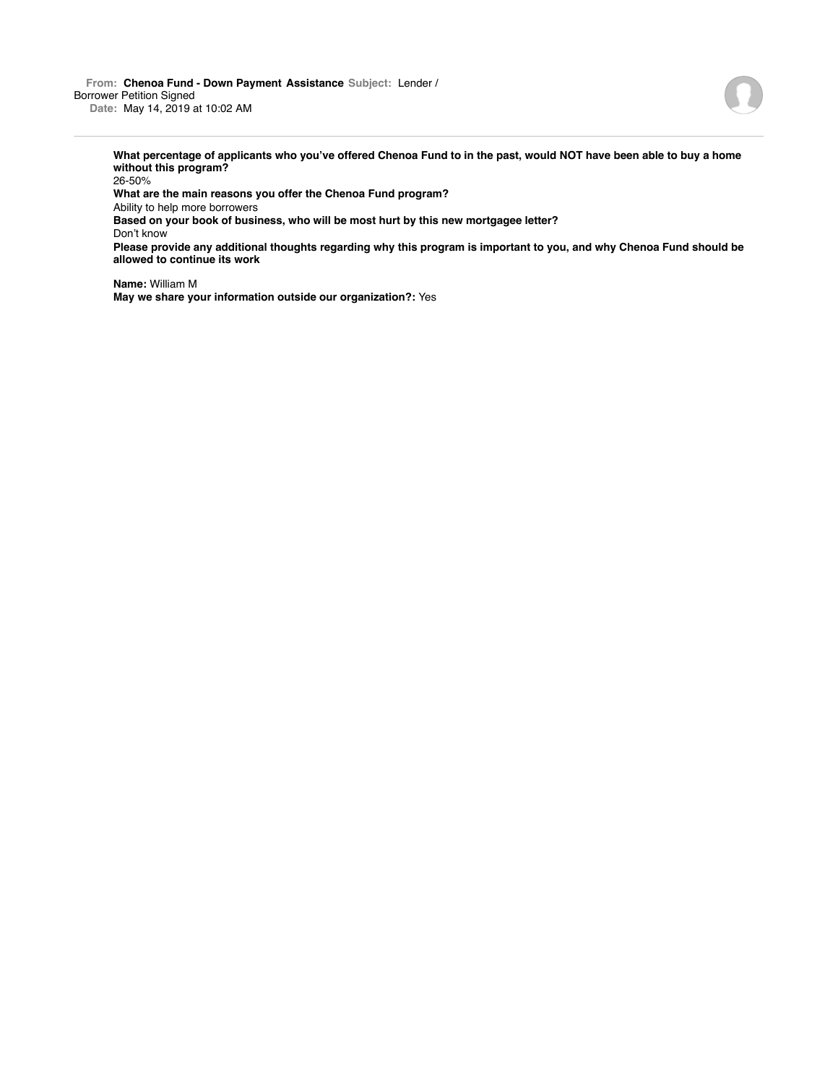**From: Chenoa Fund - Down Payment Assistance Subject:** Lender / Borrower Petition Signed **Date:** May 14, 2019 at 10:02 AM

> **What percentage of applicants who you've offered Chenoa Fund to in the past, would NOT have been able to buy a home without this program?**

26-50%

**What are the main reasons you offer the Chenoa Fund program?**

Ability to help more borrowers

**Based on your book of business, who will be most hurt by this new mortgagee letter?**

Don't know

**Please provide any additional thoughts regarding why this program is important to you, and why Chenoa Fund should be allowed to continue its work**

**Name:** William M **May we share your information outside our organization?:** Yes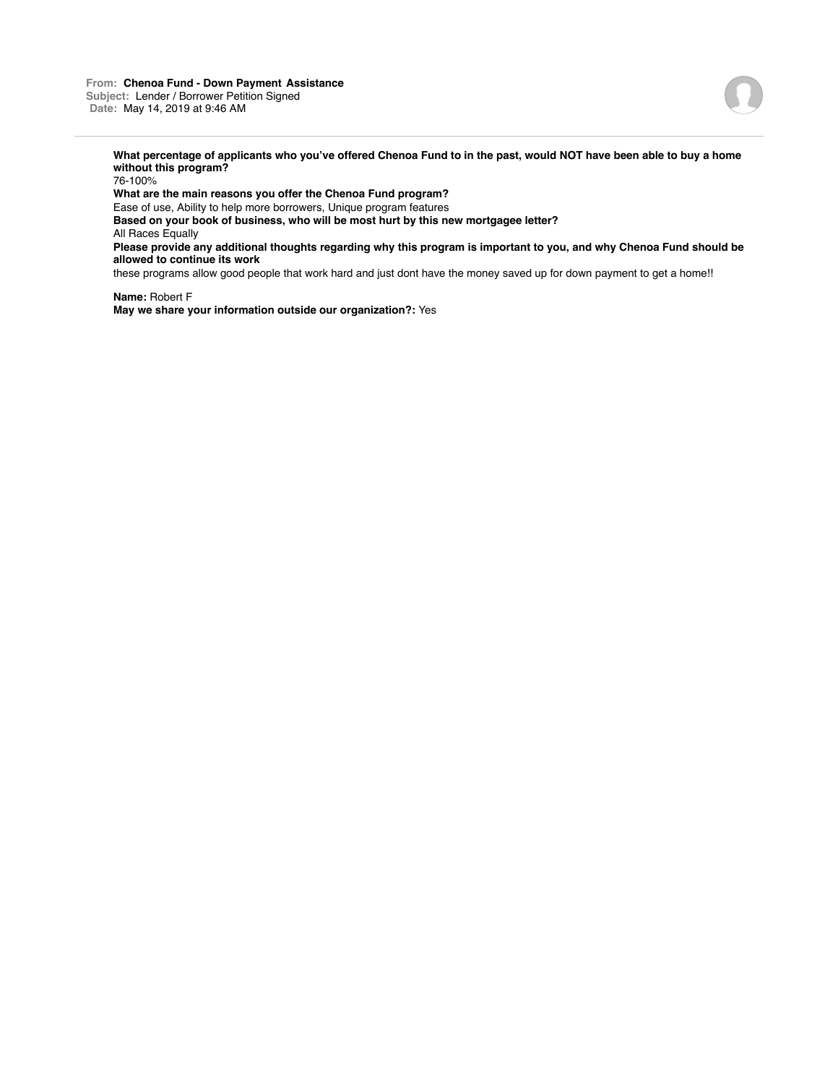

**What percentage of applicants who you've offered Chenoa Fund to in the past, would NOT have been able to buy a home without this program?**

76-100% **What are the main reasons you offer the Chenoa Fund program?** Ease of use, Ability to help more borrowers, Unique program features **Based on your book of business, who will be most hurt by this new mortgagee letter?** All Races Equally **Please provide any additional thoughts regarding why this program is important to you, and why Chenoa Fund should be allowed to continue its work**

these programs allow good people that work hard and just dont have the money saved up for down payment to get a home!!

**Name:** Robert F **May we share your information outside our organization?:** Yes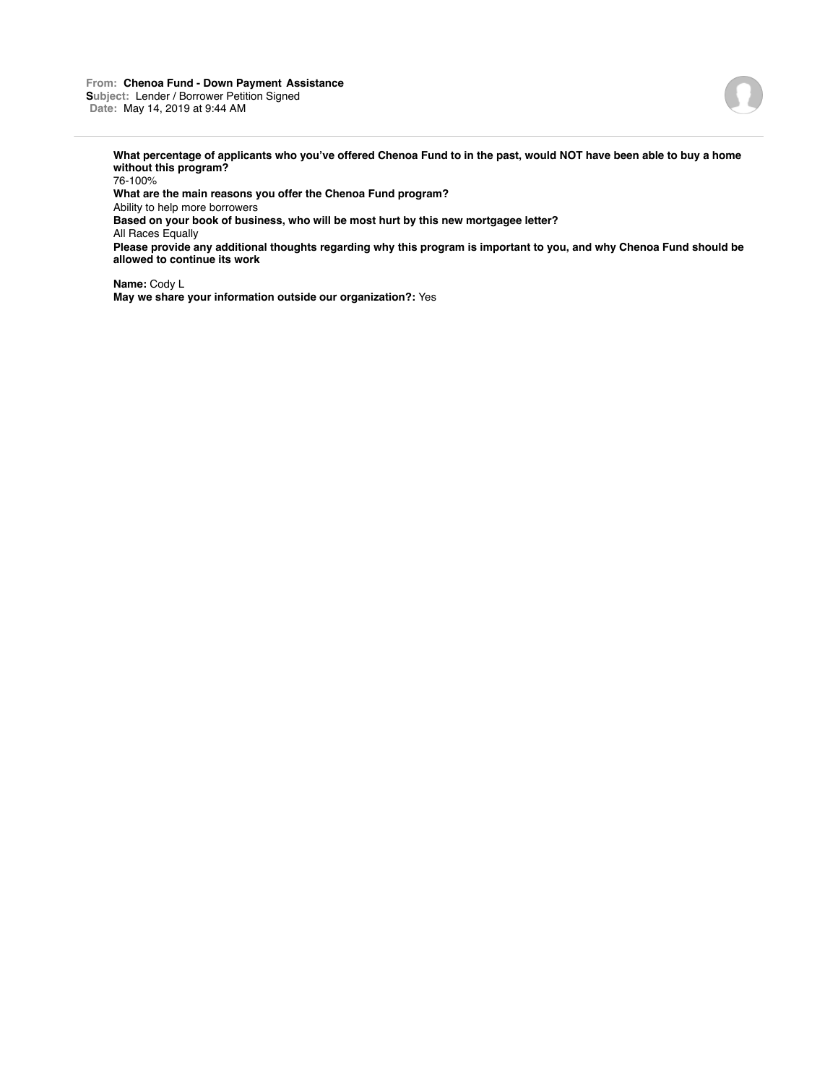#### **From: Chenoa Fund - Down Payment Assistance Subject:** Lender / Borrower Petition Signed **Date:** May 14, 2019 at 9:44 AM



**What percentage of applicants who you've offered Chenoa Fund to in the past, would NOT have been able to buy a home without this program?**

76-100% **What are the main reasons you offer the Chenoa Fund program?** Ability to help more borrowers **Based on your book of business, who will be most hurt by this new mortgagee letter?** All Races Equally **Please provide any additional thoughts regarding why this program is important to you, and why Chenoa Fund should be allowed to continue its work**

**Name:** Cody L **May we share your information outside our organization?:** Yes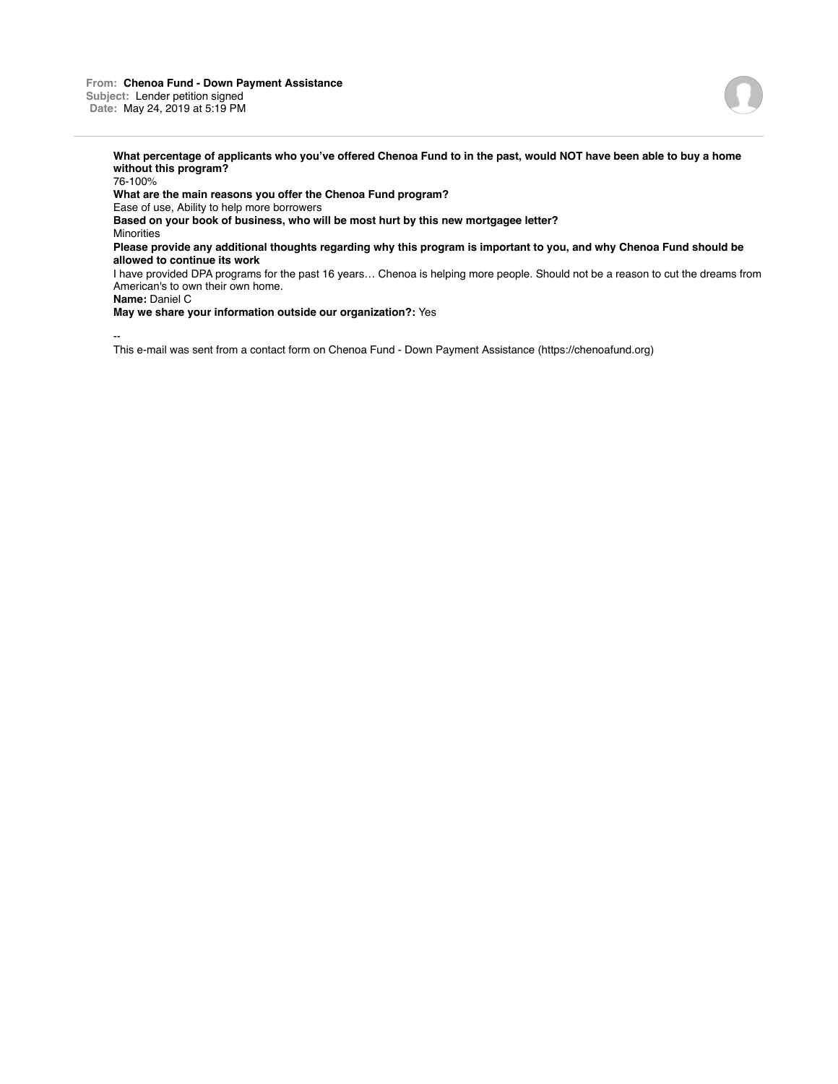**From: Chenoa Fund - Down Payment Assistance Subject:** Lender petition signed **Date:** May 24, 2019 at 5:19 PM

**What percentage of applicants who you've offered Chenoa Fund to in the past, would NOT have been able to buy a home without this program?** 76-100% **What are the main reasons you offer the Chenoa Fund program?** Ease of use, Ability to help more borrowers **Based on your book of business, who will be most hurt by this new mortgagee letter?** Minorities **Please provide any additional thoughts regarding why this program is important to you, and why Chenoa Fund should be allowed to continue its work** I have provided DPA programs for the past 16 years… Chenoa is helping more people. Should not be a reason to cut the dreams from

American's to own their own home.

**Name:** Daniel C

**May we share your information outside our organization?:** Yes

--

This e-mail was sent from a contact form on Chenoa Fund - Down Payment Assistance (https://chenoafund.org)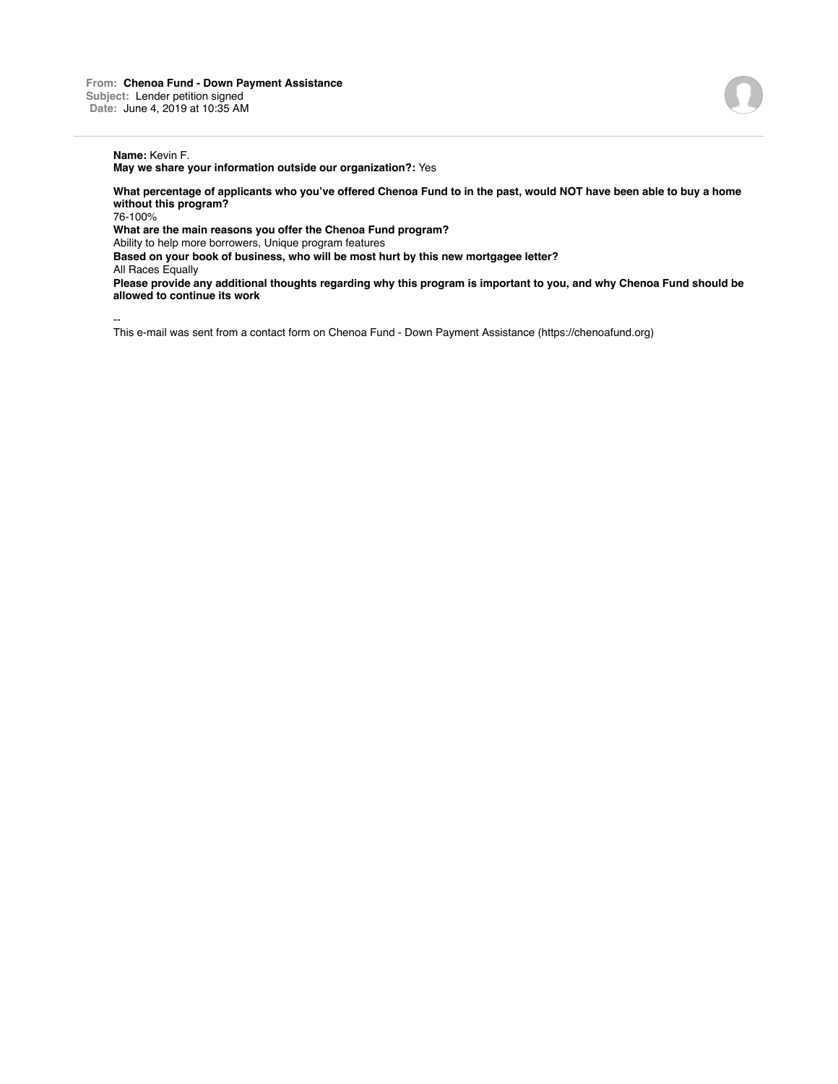# **Name:** Kevin F.

**May we share your information outside our organization?:** Yes

**What percentage of applicants who you've offered Chenoa Fund to in the past, would NOT have been able to buy a home without this program?**

76-100%

**What are the main reasons you offer the Chenoa Fund program?**

Ability to help more borrowers, Unique program features

**Based on your book of business, who will be most hurt by this new mortgagee letter?**

All Races Equally

**Please provide any additional thoughts regarding why this program is important to you, and why Chenoa Fund should be allowed to continue its work**

--

This e-mail was sent from a contact form on Chenoa Fund - Down Payment Assistance (https://chenoafund.org)